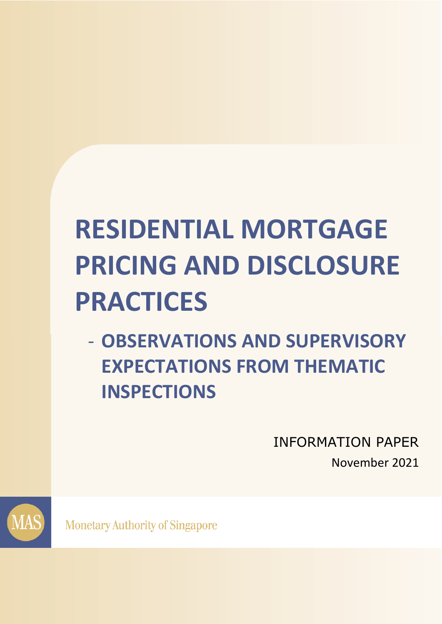# **RESIDENTIAL MORTGAGE PRICING AND DISCLOSURE PRACTICES**

- **OBSERVATIONS AND SUPERVISORY EXPECTATIONS FROM THEMATIC INSPECTIONS**

> INFORMATION PAPER November 2021



**Monetary Authority of Singapore**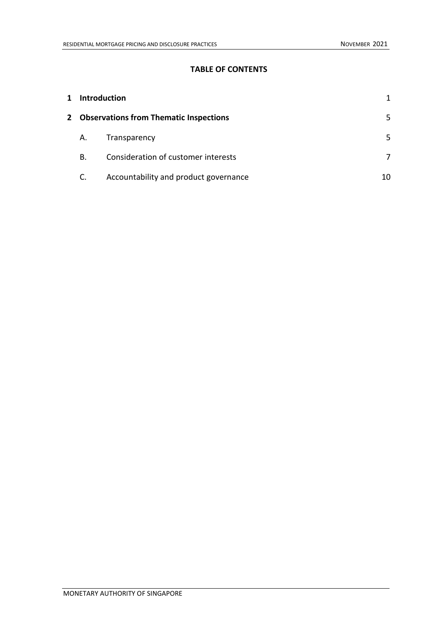#### **TABLE OF CONTENTS**

| $\mathbf{1}$ | <b>Introduction</b> |                                               |    |  |
|--------------|---------------------|-----------------------------------------------|----|--|
| $\mathbf{2}$ |                     | <b>Observations from Thematic Inspections</b> | 5. |  |
|              | Α.                  | Transparency                                  | 5. |  |
|              | В.                  | Consideration of customer interests           |    |  |
|              | C.                  | Accountability and product governance         | 10 |  |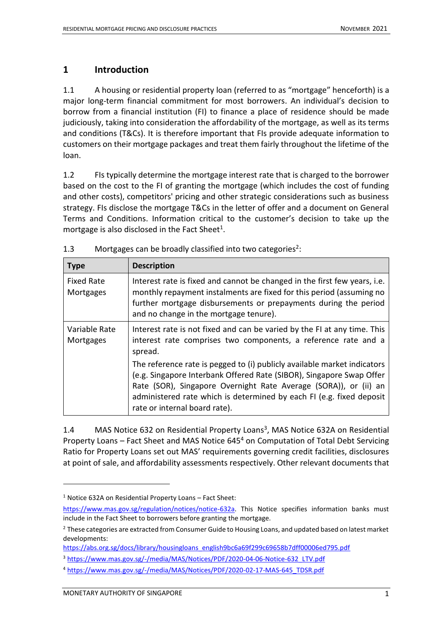#### **1 Introduction**

1.1 A housing or residential property loan (referred to as "mortgage" henceforth) is a major long-term financial commitment for most borrowers. An individual's decision to borrow from a financial institution (FI) to finance a place of residence should be made judiciously, taking into consideration the affordability of the mortgage, as well as its terms and conditions (T&Cs). It is therefore important that FIs provide adequate information to customers on their mortgage packages and treat them fairly throughout the lifetime of the loan.

1.2 FIs typically determine the mortgage interest rate that is charged to the borrower based on the cost to the FI of granting the mortgage (which includes the cost of funding and other costs), competitors' pricing and other strategic considerations such as business strategy. FIs disclose the mortgage T&Cs in the letter of offer and a document on General Terms and Conditions. Information critical to the customer's decision to take up the mortgage is also disclosed in the Fact Sheet<sup>1</sup>.

| <b>Type</b>                    | <b>Description</b>                                                                                                                                                                                                                                                                                                            |
|--------------------------------|-------------------------------------------------------------------------------------------------------------------------------------------------------------------------------------------------------------------------------------------------------------------------------------------------------------------------------|
| <b>Fixed Rate</b><br>Mortgages | Interest rate is fixed and cannot be changed in the first few years, i.e.<br>monthly repayment instalments are fixed for this period (assuming no<br>further mortgage disbursements or prepayments during the period<br>and no change in the mortgage tenure).                                                                |
| Variable Rate<br>Mortgages     | Interest rate is not fixed and can be varied by the FI at any time. This<br>interest rate comprises two components, a reference rate and a<br>spread.                                                                                                                                                                         |
|                                | The reference rate is pegged to (i) publicly available market indicators<br>(e.g. Singapore Interbank Offered Rate (SIBOR), Singapore Swap Offer<br>Rate (SOR), Singapore Overnight Rate Average (SORA)), or (ii) an<br>administered rate which is determined by each FI (e.g. fixed deposit<br>rate or internal board rate). |

1.3 Mortgages can be broadly classified into two categories<sup>2</sup>:

1.4 MAS Notice 632 on Residential Property Loans<sup>3</sup>, MAS Notice 632A on Residential Property Loans – Fact Sheet and MAS Notice  $645<sup>4</sup>$  on Computation of Total Debt Servicing Ratio for Property Loans set out MAS' requirements governing credit facilities, disclosures at point of sale, and affordability assessments respectively. Other relevant documents that

<sup>1</sup> Notice 632A on Residential Property Loans – Fact Sheet:

[https://www.mas.gov.sg/regulation/notices/notice-632a.](https://www.mas.gov.sg/regulation/notices/notice-632a) This Notice specifies information banks must include in the Fact Sheet to borrowers before granting the mortgage.

<sup>&</sup>lt;sup>2</sup> These categories are extracted from Consumer Guide to Housing Loans, and updated based on latest market developments:

[https://abs.org.sg/docs/library/housingloans\\_english9bc6a69f299c69658b7dff00006ed795.pdf](https://abs.org.sg/docs/library/housingloans_english9bc6a69f299c69658b7dff00006ed795.pdf)

<sup>&</sup>lt;sup>3</sup> [https://www.mas.gov.sg/-/media/MAS/Notices/PDF/2020-04-06-Notice-632\\_LTV.pdf](https://www.mas.gov.sg/-/media/MAS/Notices/PDF/2020-04-06-Notice-632_LTV.pdf)

<sup>4</sup> [https://www.mas.gov.sg/-/media/MAS/Notices/PDF/2020-02-17-MAS-645\\_TDSR.pdf](https://www.mas.gov.sg/-/media/MAS/Notices/PDF/2020-02-17-MAS-645_TDSR.pdf)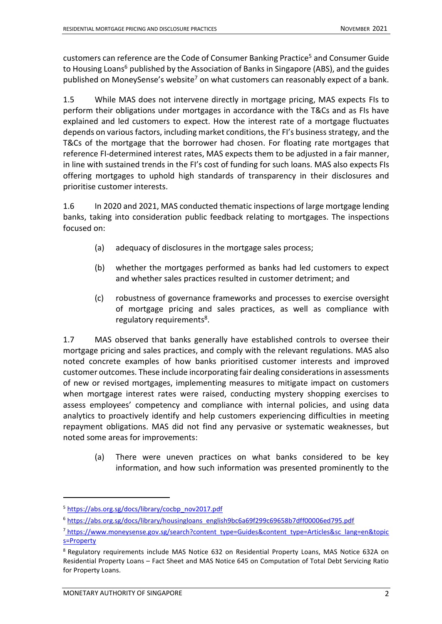customers can reference are the Code of Consumer Banking Practice<sup>5</sup> and Consumer Guide to Housing Loans<sup>6</sup> published by the Association of Banks in Singapore (ABS), and the guides published on MoneySense's website<sup>7</sup> on what customers can reasonably expect of a bank.

1.5 While MAS does not intervene directly in mortgage pricing, MAS expects FIs to perform their obligations under mortgages in accordance with the T&Cs and as FIs have explained and led customers to expect. How the interest rate of a mortgage fluctuates depends on various factors, including market conditions, the FI's business strategy, and the T&Cs of the mortgage that the borrower had chosen. For floating rate mortgages that reference FI-determined interest rates, MAS expects them to be adjusted in a fair manner, in line with sustained trends in the FI's cost of funding for such loans. MAS also expects FIs offering mortgages to uphold high standards of transparency in their disclosures and prioritise customer interests.

1.6 In 2020 and 2021, MAS conducted thematic inspections of large mortgage lending banks, taking into consideration public feedback relating to mortgages. The inspections focused on:

- (a) adequacy of disclosures in the mortgage sales process;
- (b) whether the mortgages performed as banks had led customers to expect and whether sales practices resulted in customer detriment; and
- (c) robustness of governance frameworks and processes to exercise oversight of mortgage pricing and sales practices, as well as compliance with regulatory requirements<sup>8</sup>.

1.7 MAS observed that banks generally have established controls to oversee their mortgage pricing and sales practices, and comply with the relevant regulations. MAS also noted concrete examples of how banks prioritised customer interests and improved customer outcomes. These include incorporating fair dealing considerations in assessments of new or revised mortgages, implementing measures to mitigate impact on customers when mortgage interest rates were raised, conducting mystery shopping exercises to assess employees' competency and compliance with internal policies, and using data analytics to proactively identify and help customers experiencing difficulties in meeting repayment obligations. MAS did not find any pervasive or systematic weaknesses, but noted some areas for improvements:

(a) There were uneven practices on what banks considered to be key information, and how such information was presented prominently to the

<sup>5</sup> [https://abs.org.sg/docs/library/cocbp\\_nov2017.pdf](https://abs.org.sg/docs/library/cocbp_nov2017.pdf)

<sup>6</sup> [https://abs.org.sg/docs/library/housingloans\\_english9bc6a69f299c69658b7dff00006ed795.pdf](https://abs.org.sg/docs/library/housingloans_english9bc6a69f299c69658b7dff00006ed795.pdf)

<sup>7</sup> [https://www.moneysense.gov.sg/search?content\\_type=Guides&content\\_type=Articles&sc\\_lang=en&topic](https://www.moneysense.gov.sg/search?content_type=Guides&content_type=Articles&sc_lang=en&topics=Property) [s=Property](https://www.moneysense.gov.sg/search?content_type=Guides&content_type=Articles&sc_lang=en&topics=Property)

<sup>&</sup>lt;sup>8</sup> Regulatory requirements include MAS Notice 632 on Residential Property Loans, MAS Notice 632A on Residential Property Loans – Fact Sheet and MAS Notice 645 on Computation of Total Debt Servicing Ratio for Property Loans.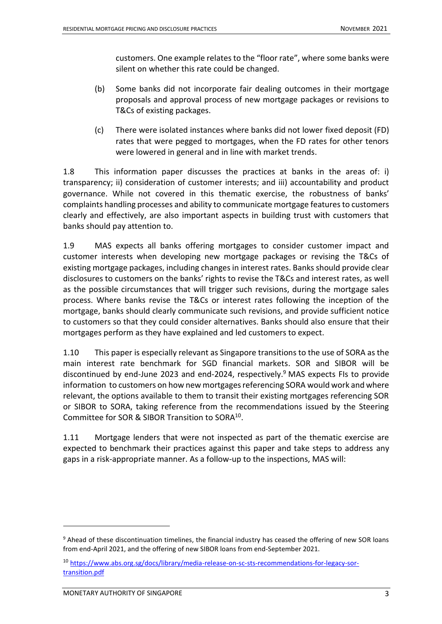customers. One example relates to the "floor rate", where some banks were silent on whether this rate could be changed.

- (b) Some banks did not incorporate fair dealing outcomes in their mortgage proposals and approval process of new mortgage packages or revisions to T&Cs of existing packages.
- (c) There were isolated instances where banks did not lower fixed deposit (FD) rates that were pegged to mortgages, when the FD rates for other tenors were lowered in general and in line with market trends.

1.8 This information paper discusses the practices at banks in the areas of: i) transparency; ii) consideration of customer interests; and iii) accountability and product governance. While not covered in this thematic exercise, the robustness of banks' complaints handling processes and ability to communicate mortgage features to customers clearly and effectively, are also important aspects in building trust with customers that banks should pay attention to.

1.9 MAS expects all banks offering mortgages to consider customer impact and customer interests when developing new mortgage packages or revising the T&Cs of existing mortgage packages, including changes in interest rates. Banks should provide clear disclosures to customers on the banks' rights to revise the T&Cs and interest rates, as well as the possible circumstances that will trigger such revisions, during the mortgage sales process. Where banks revise the T&Cs or interest rates following the inception of the mortgage, banks should clearly communicate such revisions, and provide sufficient notice to customers so that they could consider alternatives. Banks should also ensure that their mortgages perform as they have explained and led customers to expect.

1.10 This paper is especially relevant as Singapore transitions to the use of SORA as the main interest rate benchmark for SGD financial markets. SOR and SIBOR will be discontinued by end-June 2023 and end-2024, respectively.<sup>9</sup> MAS expects FIs to provide information to customers on how new mortgages referencing SORA would work and where relevant, the options available to them to transit their existing mortgages referencing SOR or SIBOR to SORA, taking reference from the recommendations issued by the Steering Committee for SOR & SIBOR Transition to SORA<sup>10</sup>.

1.11 Mortgage lenders that were not inspected as part of the thematic exercise are expected to benchmark their practices against this paper and take steps to address any gaps in a risk-appropriate manner. As a follow-up to the inspections, MAS will:

<sup>&</sup>lt;sup>9</sup> Ahead of these discontinuation timelines, the financial industry has ceased the offering of new SOR loans from end-April 2021, and the offering of new SIBOR loans from end-September 2021.

<sup>&</sup>lt;sup>10</sup> [https://www.abs.org.sg/docs/library/media-release-on-sc-sts-recommendations-for-legacy-sor](https://www.abs.org.sg/docs/library/media-release-on-sc-sts-recommendations-for-legacy-sor-transition.pdf)[transition.pdf](https://www.abs.org.sg/docs/library/media-release-on-sc-sts-recommendations-for-legacy-sor-transition.pdf)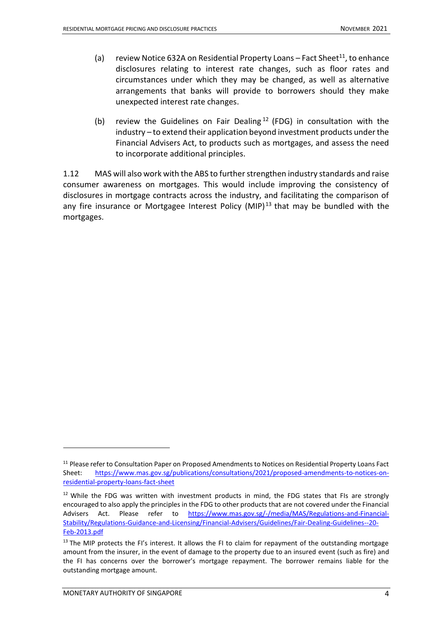- (a) review Notice 632A on Residential Property Loans Fact Sheet<sup>11</sup>, to enhance disclosures relating to interest rate changes, such as floor rates and circumstances under which they may be changed, as well as alternative arrangements that banks will provide to borrowers should they make unexpected interest rate changes.
- (b) review the Guidelines on Fair Dealing  $12$  (FDG) in consultation with the industry – to extend their application beyond investment products under the Financial Advisers Act, to products such as mortgages, and assess the need to incorporate additional principles.

1.12 MAS will also work with the ABS to further strengthen industry standards and raise consumer awareness on mortgages. This would include improving the consistency of disclosures in mortgage contracts across the industry, and facilitating the comparison of any fire insurance or Mortgagee Interest Policy (MIP)<sup>13</sup> that may be bundled with the mortgages.

<sup>&</sup>lt;sup>11</sup> Please refer to Consultation Paper on Proposed Amendments to Notices on Residential Property Loans Fact Sheet: [https://www.mas.gov.sg/publications/consultations/2021/proposed-amendments-to-notices-on](https://www.mas.gov.sg/publications/consultations/2021/proposed-amendments-to-notices-on-residential-property-loans-fact-sheet)[residential-property-loans-fact-sheet](https://www.mas.gov.sg/publications/consultations/2021/proposed-amendments-to-notices-on-residential-property-loans-fact-sheet)

 $12$  While the FDG was written with investment products in mind, the FDG states that FIs are strongly encouraged to also apply the principles in the FDG to other products that are not covered under the Financial Advisers Act. Please refer to [https://www.mas.gov.sg/-/media/MAS/Regulations-and-Financial-](https://www.mas.gov.sg/-/media/MAS/Regulations-and-Financial-Stability/Regulations-Guidance-and-Licensing/Financial-Advisers/Guidelines/Fair-Dealing-Guidelines--20-Feb-2013.pdf)[Stability/Regulations-Guidance-and-Licensing/Financial-Advisers/Guidelines/Fair-Dealing-Guidelines--20-](https://www.mas.gov.sg/-/media/MAS/Regulations-and-Financial-Stability/Regulations-Guidance-and-Licensing/Financial-Advisers/Guidelines/Fair-Dealing-Guidelines--20-Feb-2013.pdf) [Feb-2013.pdf](https://www.mas.gov.sg/-/media/MAS/Regulations-and-Financial-Stability/Regulations-Guidance-and-Licensing/Financial-Advisers/Guidelines/Fair-Dealing-Guidelines--20-Feb-2013.pdf)

<sup>&</sup>lt;sup>13</sup> The MIP protects the FI's interest. It allows the FI to claim for repayment of the outstanding mortgage amount from the insurer, in the event of damage to the property due to an insured event (such as fire) and the FI has concerns over the borrower's mortgage repayment. The borrower remains liable for the outstanding mortgage amount.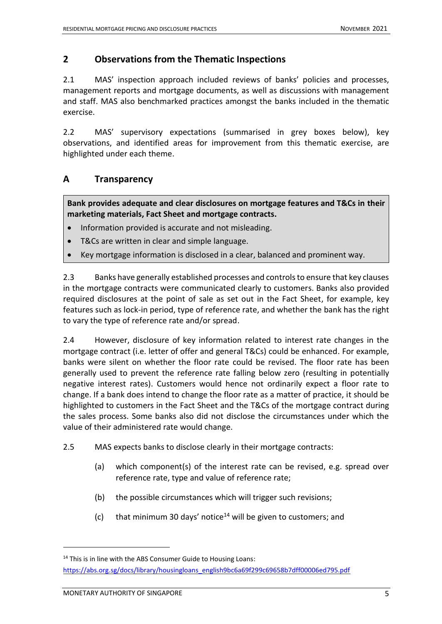## **2 Observations from the Thematic Inspections**

2.1 MAS' inspection approach included reviews of banks' policies and processes, management reports and mortgage documents, as well as discussions with management and staff. MAS also benchmarked practices amongst the banks included in the thematic exercise.

2.2 MAS' supervisory expectations (summarised in grey boxes below), key observations, and identified areas for improvement from this thematic exercise, are highlighted under each theme.

## **A Transparency**

**Bank provides adequate and clear disclosures on mortgage features and T&Cs in their marketing materials, Fact Sheet and mortgage contracts.**

- Information provided is accurate and not misleading.
- T&Cs are written in clear and simple language.
- Key mortgage information is disclosed in a clear, balanced and prominent way.

2.3 Banks have generally established processes and controls to ensure that key clauses in the mortgage contracts were communicated clearly to customers. Banks also provided required disclosures at the point of sale as set out in the Fact Sheet, for example, key features such as lock-in period, type of reference rate, and whether the bank has the right to vary the type of reference rate and/or spread.

2.4 However, disclosure of key information related to interest rate changes in the mortgage contract (i.e. letter of offer and general T&Cs) could be enhanced. For example, banks were silent on whether the floor rate could be revised. The floor rate has been generally used to prevent the reference rate falling below zero (resulting in potentially negative interest rates). Customers would hence not ordinarily expect a floor rate to change. If a bank does intend to change the floor rate as a matter of practice, it should be highlighted to customers in the Fact Sheet and the T&Cs of the mortgage contract during the sales process. Some banks also did not disclose the circumstances under which the value of their administered rate would change.

- 2.5 MAS expects banks to disclose clearly in their mortgage contracts:
	- (a) which component(s) of the interest rate can be revised, e.g. spread over reference rate, type and value of reference rate;
	- (b) the possible circumstances which will trigger such revisions;
	- (c) that minimum 30 days' notice $14$  will be given to customers; and

<sup>&</sup>lt;sup>14</sup> This is in line with the ABS Consumer Guide to Housing Loans: [https://abs.org.sg/docs/library/housingloans\\_english9bc6a69f299c69658b7dff00006ed795.pdf](https://abs.org.sg/docs/library/housingloans_english9bc6a69f299c69658b7dff00006ed795.pdf)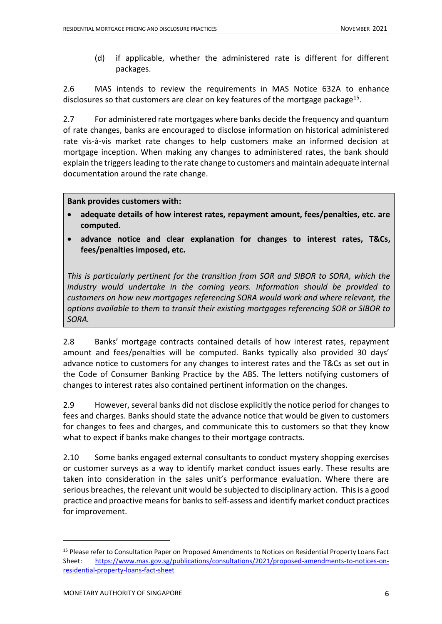(d) if applicable, whether the administered rate is different for different packages.

2.6 MAS intends to review the requirements in MAS Notice 632A to enhance disclosures so that customers are clear on key features of the mortgage package<sup>15</sup>.

2.7 For administered rate mortgages where banks decide the frequency and quantum of rate changes, banks are encouraged to disclose information on historical administered rate vis-à-vis market rate changes to help customers make an informed decision at mortgage inception. When making any changes to administered rates, the bank should explain the triggers leading to the rate change to customers and maintain adequate internal documentation around the rate change.

**Bank provides customers with:**

- **adequate details of how interest rates, repayment amount, fees/penalties, etc. are computed.**
- **advance notice and clear explanation for changes to interest rates, T&Cs, fees/penalties imposed, etc.**

*This is particularly pertinent for the transition from SOR and SIBOR to SORA, which the industry would undertake in the coming years. Information should be provided to customers on how new mortgages referencing SORA would work and where relevant, the options available to them to transit their existing mortgages referencing SOR or SIBOR to SORA.* 

2.8 Banks' mortgage contracts contained details of how interest rates, repayment amount and fees/penalties will be computed. Banks typically also provided 30 days' advance notice to customers for any changes to interest rates and the T&Cs as set out in the Code of Consumer Banking Practice by the ABS. The letters notifying customers of changes to interest rates also contained pertinent information on the changes.

2.9 However, several banks did not disclose explicitly the notice period for changes to fees and charges. Banks should state the advance notice that would be given to customers for changes to fees and charges, and communicate this to customers so that they know what to expect if banks make changes to their mortgage contracts.

2.10 Some banks engaged external consultants to conduct mystery shopping exercises or customer surveys as a way to identify market conduct issues early. These results are taken into consideration in the sales unit's performance evaluation. Where there are serious breaches, the relevant unit would be subjected to disciplinary action. This is a good practice and proactive means for banks to self-assess and identify market conduct practices for improvement.

<sup>&</sup>lt;sup>15</sup> Please refer to Consultation Paper on Proposed Amendments to Notices on Residential Property Loans Fact Sheet: [https://www.mas.gov.sg/publications/consultations/2021/proposed-amendments-to-notices-on](https://www.mas.gov.sg/publications/consultations/2021/proposed-amendments-to-notices-on-residential-property-loans-fact-sheet)[residential-property-loans-fact-sheet](https://www.mas.gov.sg/publications/consultations/2021/proposed-amendments-to-notices-on-residential-property-loans-fact-sheet)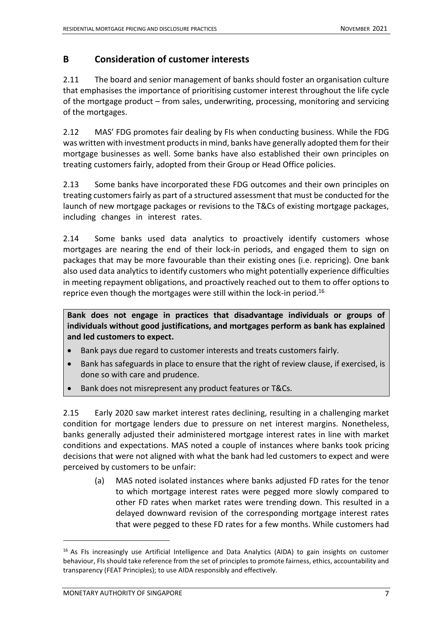## **B Consideration of customer interests**

2.11 The board and senior management of banks should foster an organisation culture that emphasises the importance of prioritising customer interest throughout the life cycle of the mortgage product – from sales, underwriting, processing, monitoring and servicing of the mortgages.

2.12 MAS' FDG promotes fair dealing by FIs when conducting business. While the FDG was written with investment products in mind, banks have generally adopted them for their mortgage businesses as well. Some banks have also established their own principles on treating customers fairly, adopted from their Group or Head Office policies.

2.13 Some banks have incorporated these FDG outcomes and their own principles on treating customers fairly as part of a structured assessment that must be conducted for the launch of new mortgage packages or revisions to the T&Cs of existing mortgage packages, including changes in interest rates.

2.14 Some banks used data analytics to proactively identify customers whose mortgages are nearing the end of their lock-in periods, and engaged them to sign on packages that may be more favourable than their existing ones (i.e. repricing). One bank also used data analytics to identify customers who might potentially experience difficulties in meeting repayment obligations, and proactively reached out to them to offer options to reprice even though the mortgages were still within the lock-in period.<sup>16</sup>

**Bank does not engage in practices that disadvantage individuals or groups of individuals without good justifications, and mortgages perform as bank has explained and led customers to expect.**

- Bank pays due regard to customer interests and treats customers fairly.
- Bank has safeguards in place to ensure that the right of review clause, if exercised, is done so with care and prudence.
- Bank does not misrepresent any product features or T&Cs.

2.15 Early 2020 saw market interest rates declining, resulting in a challenging market condition for mortgage lenders due to pressure on net interest margins. Nonetheless, banks generally adjusted their administered mortgage interest rates in line with market conditions and expectations. MAS noted a couple of instances where banks took pricing decisions that were not aligned with what the bank had led customers to expect and were perceived by customers to be unfair:

(a) MAS noted isolated instances where banks adjusted FD rates for the tenor to which mortgage interest rates were pegged more slowly compared to other FD rates when market rates were trending down. This resulted in a delayed downward revision of the corresponding mortgage interest rates that were pegged to these FD rates for a few months. While customers had

<sup>&</sup>lt;sup>16</sup> As FIs increasingly use Artificial Intelligence and Data Analytics (AIDA) to gain insights on customer behaviour, FIs should take reference from the set of principles to promote fairness, ethics, accountability and transparency (FEAT Principles); to use AIDA responsibly and effectively.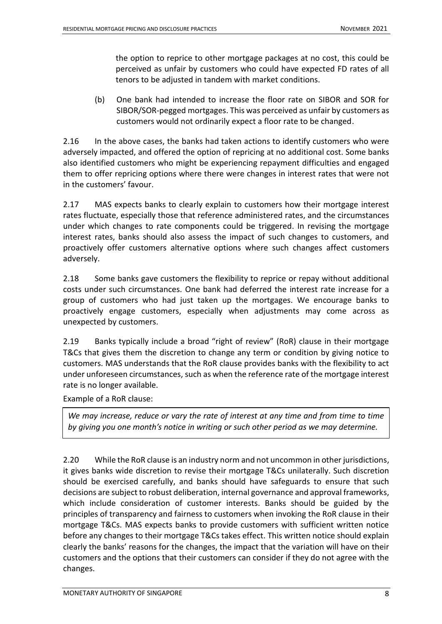the option to reprice to other mortgage packages at no cost, this could be perceived as unfair by customers who could have expected FD rates of all tenors to be adjusted in tandem with market conditions.

(b) One bank had intended to increase the floor rate on SIBOR and SOR for SIBOR/SOR-pegged mortgages. This was perceived as unfair by customers as customers would not ordinarily expect a floor rate to be changed.

2.16 In the above cases, the banks had taken actions to identify customers who were adversely impacted, and offered the option of repricing at no additional cost. Some banks also identified customers who might be experiencing repayment difficulties and engaged them to offer repricing options where there were changes in interest rates that were not in the customers' favour.

2.17 MAS expects banks to clearly explain to customers how their mortgage interest rates fluctuate, especially those that reference administered rates, and the circumstances under which changes to rate components could be triggered. In revising the mortgage interest rates, banks should also assess the impact of such changes to customers, and proactively offer customers alternative options where such changes affect customers adversely.

2.18 Some banks gave customers the flexibility to reprice or repay without additional costs under such circumstances. One bank had deferred the interest rate increase for a group of customers who had just taken up the mortgages. We encourage banks to proactively engage customers, especially when adjustments may come across as unexpected by customers.

2.19 Banks typically include a broad "right of review" (RoR) clause in their mortgage T&Cs that gives them the discretion to change any term or condition by giving notice to customers. MAS understands that the RoR clause provides banks with the flexibility to act under unforeseen circumstances, such as when the reference rate of the mortgage interest rate is no longer available.

Example of a RoR clause:

*We may increase, reduce or vary the rate of interest at any time and from time to time by giving you one month's notice in writing or such other period as we may determine.*

2.20 While the RoR clause is an industry norm and not uncommon in other jurisdictions, it gives banks wide discretion to revise their mortgage T&Cs unilaterally. Such discretion should be exercised carefully, and banks should have safeguards to ensure that such decisions are subject to robust deliberation, internal governance and approval frameworks, which include consideration of customer interests. Banks should be guided by the principles of transparency and fairness to customers when invoking the RoR clause in their mortgage T&Cs. MAS expects banks to provide customers with sufficient written notice before any changes to their mortgage T&Cs takes effect. This written notice should explain clearly the banks' reasons for the changes, the impact that the variation will have on their customers and the options that their customers can consider if they do not agree with the changes.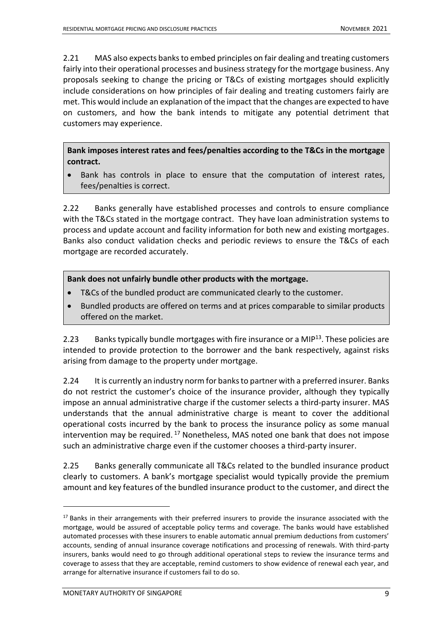2.21 MAS also expects banks to embed principles on fair dealing and treating customers fairly into their operational processes and business strategy for the mortgage business. Any proposals seeking to change the pricing or T&Cs of existing mortgages should explicitly include considerations on how principles of fair dealing and treating customers fairly are met. This would include an explanation of the impact that the changes are expected to have on customers, and how the bank intends to mitigate any potential detriment that customers may experience.

**Bank imposes interest rates and fees/penalties according to the T&Cs in the mortgage contract.**

• Bank has controls in place to ensure that the computation of interest rates, fees/penalties is correct.

2.22 Banks generally have established processes and controls to ensure compliance with the T&Cs stated in the mortgage contract. They have loan administration systems to process and update account and facility information for both new and existing mortgages. Banks also conduct validation checks and periodic reviews to ensure the T&Cs of each mortgage are recorded accurately.

#### **Bank does not unfairly bundle other products with the mortgage.**

- T&Cs of the bundled product are communicated clearly to the customer.
- Bundled products are offered on terms and at prices comparable to similar products offered on the market.

2.23 Banks typically bundle mortgages with fire insurance or a MIP $13$ . These policies are intended to provide protection to the borrower and the bank respectively, against risks arising from damage to the property under mortgage.

2.24 It is currently an industry norm for banks to partner with a preferred insurer. Banks do not restrict the customer's choice of the insurance provider, although they typically impose an annual administrative charge if the customer selects a third-party insurer. MAS understands that the annual administrative charge is meant to cover the additional operational costs incurred by the bank to process the insurance policy as some manual intervention may be required.  $17$  Nonetheless, MAS noted one bank that does not impose such an administrative charge even if the customer chooses a third-party insurer.

2.25 Banks generally communicate all T&Cs related to the bundled insurance product clearly to customers. A bank's mortgage specialist would typically provide the premium amount and key features of the bundled insurance product to the customer, and direct the

<sup>&</sup>lt;sup>17</sup> Banks in their arrangements with their preferred insurers to provide the insurance associated with the mortgage, would be assured of acceptable policy terms and coverage. The banks would have established automated processes with these insurers to enable automatic annual premium deductions from customers' accounts, sending of annual insurance coverage notifications and processing of renewals. With third-party insurers, banks would need to go through additional operational steps to review the insurance terms and coverage to assess that they are acceptable, remind customers to show evidence of renewal each year, and arrange for alternative insurance if customers fail to do so.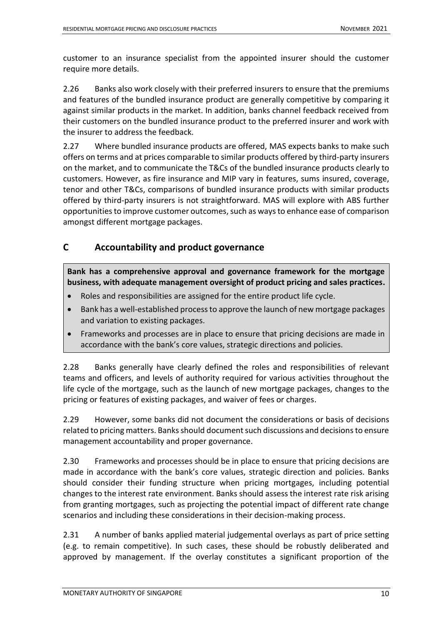customer to an insurance specialist from the appointed insurer should the customer require more details.

2.26 Banks also work closely with their preferred insurers to ensure that the premiums and features of the bundled insurance product are generally competitive by comparing it against similar products in the market. In addition, banks channel feedback received from their customers on the bundled insurance product to the preferred insurer and work with the insurer to address the feedback.

2.27 Where bundled insurance products are offered, MAS expects banks to make such offers on terms and at prices comparable to similar products offered by third-party insurers on the market, and to communicate the T&Cs of the bundled insurance products clearly to customers. However, as fire insurance and MIP vary in features, sums insured, coverage, tenor and other T&Cs, comparisons of bundled insurance products with similar products offered by third-party insurers is not straightforward. MAS will explore with ABS further opportunities to improve customer outcomes, such as ways to enhance ease of comparison amongst different mortgage packages.

## **C Accountability and product governance**

**Bank has a comprehensive approval and governance framework for the mortgage business, with adequate management oversight of product pricing and sales practices.**

- Roles and responsibilities are assigned for the entire product life cycle.
- Bank has a well-established process to approve the launch of new mortgage packages and variation to existing packages.
- Frameworks and processes are in place to ensure that pricing decisions are made in accordance with the bank's core values, strategic directions and policies.

2.28 Banks generally have clearly defined the roles and responsibilities of relevant teams and officers, and levels of authority required for various activities throughout the life cycle of the mortgage, such as the launch of new mortgage packages, changes to the pricing or features of existing packages, and waiver of fees or charges.

2.29 However, some banks did not document the considerations or basis of decisions related to pricing matters. Banks should document such discussions and decisions to ensure management accountability and proper governance.

2.30 Frameworks and processes should be in place to ensure that pricing decisions are made in accordance with the bank's core values, strategic direction and policies. Banks should consider their funding structure when pricing mortgages, including potential changes to the interest rate environment. Banks should assess the interest rate risk arising from granting mortgages, such as projecting the potential impact of different rate change scenarios and including these considerations in their decision-making process.

2.31 A number of banks applied material judgemental overlays as part of price setting (e.g. to remain competitive). In such cases, these should be robustly deliberated and approved by management. If the overlay constitutes a significant proportion of the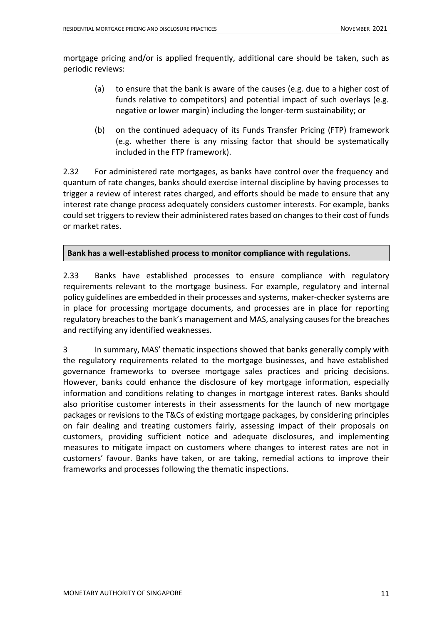mortgage pricing and/or is applied frequently, additional care should be taken, such as periodic reviews:

- (a) to ensure that the bank is aware of the causes (e.g. due to a higher cost of funds relative to competitors) and potential impact of such overlays (e.g. negative or lower margin) including the longer-term sustainability; or
- (b) on the continued adequacy of its Funds Transfer Pricing (FTP) framework (e.g. whether there is any missing factor that should be systematically included in the FTP framework).

2.32 For administered rate mortgages, as banks have control over the frequency and quantum of rate changes, banks should exercise internal discipline by having processes to trigger a review of interest rates charged, and efforts should be made to ensure that any interest rate change process adequately considers customer interests. For example, banks could set triggers to review their administered rates based on changes to their cost of funds or market rates.

#### **Bank has a well-established process to monitor compliance with regulations.**

2.33 Banks have established processes to ensure compliance with regulatory requirements relevant to the mortgage business. For example, regulatory and internal policy guidelines are embedded in their processes and systems, maker-checker systems are in place for processing mortgage documents, and processes are in place for reporting regulatory breaches to the bank's management and MAS, analysing causes for the breaches and rectifying any identified weaknesses.

3 In summary, MAS' thematic inspections showed that banks generally comply with the regulatory requirements related to the mortgage businesses, and have established governance frameworks to oversee mortgage sales practices and pricing decisions. However, banks could enhance the disclosure of key mortgage information, especially information and conditions relating to changes in mortgage interest rates. Banks should also prioritise customer interests in their assessments for the launch of new mortgage packages or revisions to the T&Cs of existing mortgage packages, by considering principles on fair dealing and treating customers fairly, assessing impact of their proposals on customers, providing sufficient notice and adequate disclosures, and implementing measures to mitigate impact on customers where changes to interest rates are not in customers' favour. Banks have taken, or are taking, remedial actions to improve their frameworks and processes following the thematic inspections.